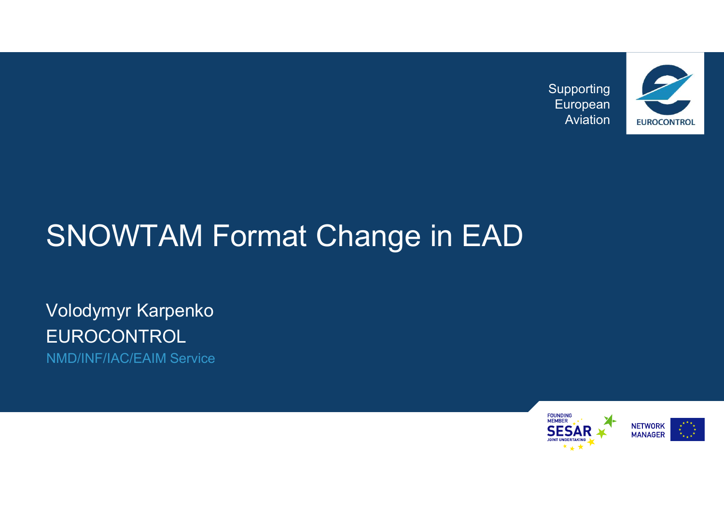Supporting European



### SNOWTAM Format Change in EAD

Volodymyr Karpenko EUROCONTROL NMD/INF/IAC/EAIM Service

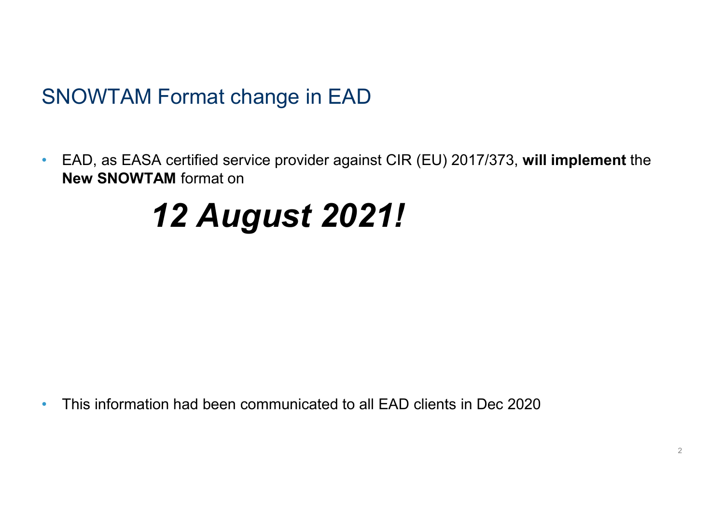### SNOWTAM Format change in EAD

• EAD, as EASA certified service provider against CIR (EU) 2017/373, will implement the New SNOWTAM format on

### 12 August 2021!

• This information had been communicated to all EAD clients in Dec 2020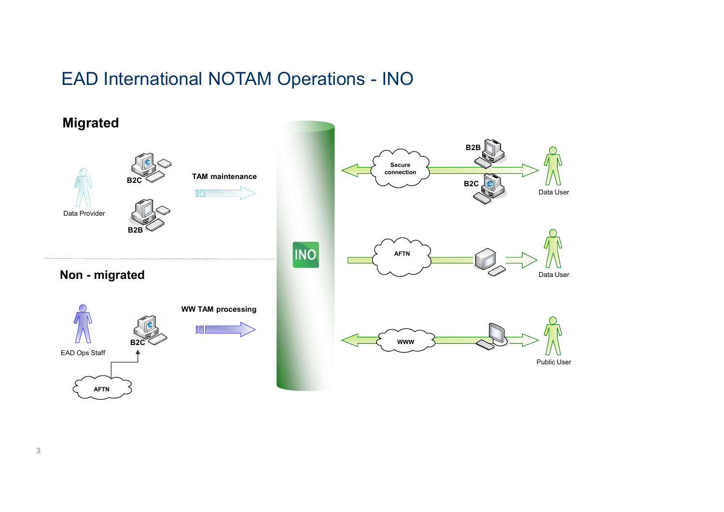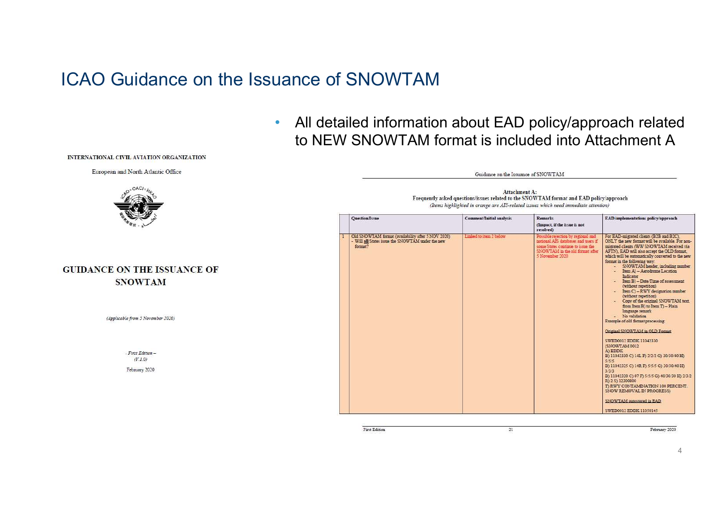### ICAO Guidance on the Issuance of SNOWTAM



Guidance on the Issuance of SNOWTAM



| <b>Ouestion/Issue</b>                                                                                              | <b>Comment/Initial analysis</b> | <b>Remarks</b><br>(Inpact, if the issue is not<br>resolved)                                                                                                          | EAD implementations policy/approach                                                                                                                                                                                                                                                                                                                                                                                                                                                                                                                                                                                                                                                                                                                                                                                                                                                                                                                                                                                                                      |
|--------------------------------------------------------------------------------------------------------------------|---------------------------------|----------------------------------------------------------------------------------------------------------------------------------------------------------------------|----------------------------------------------------------------------------------------------------------------------------------------------------------------------------------------------------------------------------------------------------------------------------------------------------------------------------------------------------------------------------------------------------------------------------------------------------------------------------------------------------------------------------------------------------------------------------------------------------------------------------------------------------------------------------------------------------------------------------------------------------------------------------------------------------------------------------------------------------------------------------------------------------------------------------------------------------------------------------------------------------------------------------------------------------------|
| Old SNOWTAM format (availability after 5 NOV 2020)<br>- Will all States issue the SNOWTAM under the new<br>format? | Linked to item 2 below          | Possible rejection by regional and<br>national AIS databases and users if<br>some States continue to issue the<br>SNOWTAM in the old format after<br>5 November 2020 | For EAD-migrated clients (B2B and B2C).<br>ONLY the new format will be available. For non-<br>migrated clients (WW SNOWTAM received via<br>AFTM. EAD will also accept the OLD format.<br>which will be automatically converted to the new<br>format in the following way.<br>- SNOWTAM header, including number<br>- Item A) - Aerodrome Location<br>Indicator<br>- Item B) - Date/Time of assessment<br>(without repetition)<br>- Item C) - RWY designation number<br>(without repetition)<br>- Copy of the original SNOWTAM text.<br>from Item B) to Item T) - Plain<br>language remark<br>- No validation<br>Example of old format processing.<br>Original SNOWTAM in OLD Format<br>SWED0012 EDDK 11042330<br>(SNOWTAM 0012)<br>A) EDDK<br>B) 11042330 C) 14L F) 2/2/2 G) 30/30/40 H)<br>5/5/5<br>B) 11042325 C) 14R F) 5/5/5 G) 30/30/40 H)<br>3/3/3<br>B) 11042320 C) 07 F) 5/5/5 G) 40/30/30 H) 2/3/2<br>R) 2 S) 12300800<br>T) RWY CONTAMINATION 100 PERCENT.<br>SNOW REMOVAL IN PROGRESS)<br>SNOWTAM autostored in EAD<br>SWED0012 EDDK 11050145 |

First Edition

21

February 2020

### INTERNATIONAL CIVIL AVIATION ORGANIZATION

European and North Atlantic Office



### **GUIDANCE ON THE ISSUANCE OF SNOWTAM**

(Applicable from 5 November 2020)

- First Edition - $(V.1.0)$ February 2020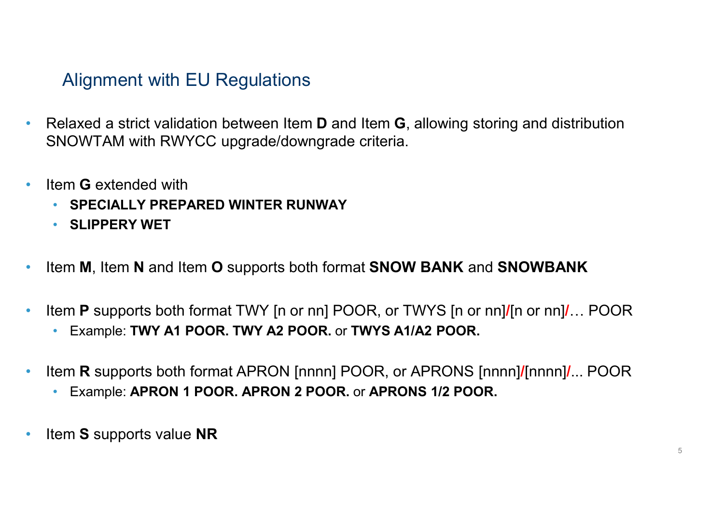### Alignment with EU Regulations

- Relaxed a strict validation between Item **D** and Item **G**, allowing storing and distribution Solignment with EU Regulations<br>• Relaxed a strict validation between Item D and Item G, allowing storial<br>• Item G extended with • SPECIALLY PREPARED WINTER RUNWAY
- -
	- SLIPPERY WET
- Item M, Item N and Item O supports both format **SNOW BANK** and **SNOWBANK**
- Item P supports both format TWY [n or nn] POOR, or TWYS [n or nn]/[n or nn]/… POOR
	- Example: TWY A1 POOR. TWY A2 POOR. or TWYS A1/A2 POOR.
- Item **R** supports both format APRON [nnnn] POOR, or APRONS [nnnn]/[nnnn]/... POOR • Hem G extended with<br>• SPECIALLY PREPARED WINTER RUNWAY<br>• Elem M, Item N and Item O supports both format SNOW BANK and SNOWBANK<br>• Item P supports both format TWY [n or nn] POOR, or TWYS [n or nn]/[n or nn]/... POOR<br>• Exam
	-
-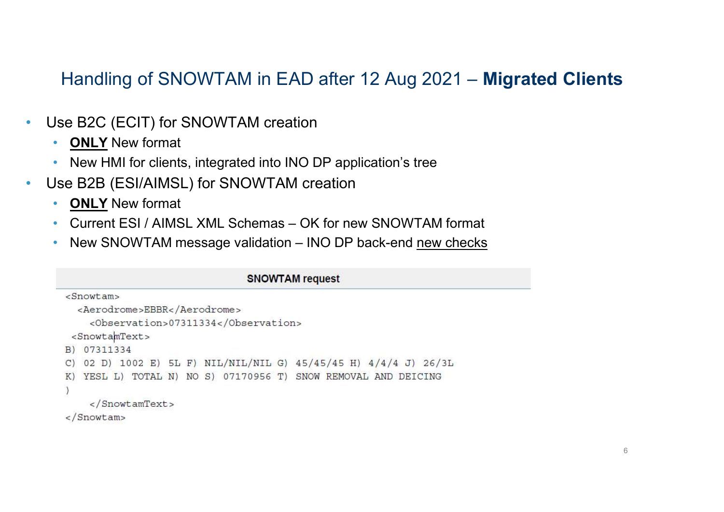# Handling of SNOWTAM in EAD after 12 Aug 2021 – Migrated Clients **Handling of SNOWTAM in EAD after 12 Aug 2021 — Migrated Clients**<br>
• SNE B2C (ECIT) for SNOWTAM creation<br>
• <u>ONLY</u> New format<br>
• New HMI for clients, integrated into INO DP application's tree<br>
• SNE (ESI/AIMSL) for SNOWT

- Use B2C (ECIT) for SNOWTAM creation
	- ONLY New format
	- New HMI for clients, integrated into INO DP application's tree
- Use B2B (ESI/AIMSL) for SNOWTAM creation
	- ONLY New format
	-
	-

```
<Aerodrome>EBBR</Aerodrome>
    <Observation>07311334</Observation>
 <SnowtamText>
B) 07311334
C) 02 D) 1002 E) 5L F) NIL/NIL/NIL G) 45/45/45 H) 4/4/4 J) 26/3L
K) YESL L) TOTAL N) NO S) 07170956 T) SNOW REMOVAL AND DEICING
    \epsilon/SnowtamText>
\langleSnowtam>
```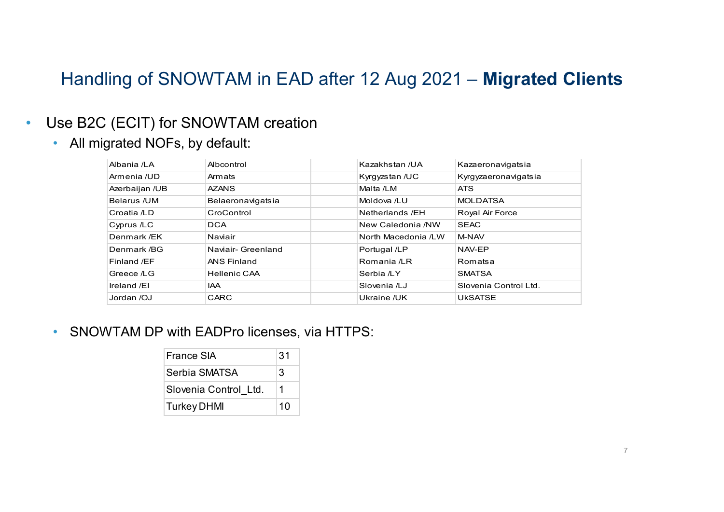### Handling of SNOWTAM in EAD after 12 Aug 2021 – Migrated Clients

### • Use B2C (ECIT) for SNOWTAM creation

|                                  |                                     |  | Handling of SNOWTAM in EAD after 12 Aug 2021 - Migrated Clients |                       |  |
|----------------------------------|-------------------------------------|--|-----------------------------------------------------------------|-----------------------|--|
|                                  |                                     |  |                                                                 |                       |  |
|                                  |                                     |  |                                                                 |                       |  |
|                                  | Jse B2C (ECIT) for SNOWTAM creation |  |                                                                 |                       |  |
| • All migrated NOFs, by default: |                                     |  |                                                                 |                       |  |
|                                  |                                     |  |                                                                 |                       |  |
| Albania /LA                      | Albcontrol                          |  | Kazakhstan /UA                                                  | Kazaeronavigatsia     |  |
| Armenia /UD                      | Armats                              |  | Kyrgyzstan /UC                                                  | Kyrgyzaeronavigatsia  |  |
| Azerbaijan /UB                   | <b>AZANS</b>                        |  | Malta /LM                                                       | <b>ATS</b>            |  |
| Belarus /UM                      | Belaeronavigatsia                   |  | Moldova /LU                                                     | <b>MOLDATSA</b>       |  |
| Croatia /LD                      | CroControl                          |  | Netherlands /EH                                                 | Royal Air Force       |  |
| Cyprus /LC                       | <b>DCA</b>                          |  | New Caledonia /NW                                               | <b>SEAC</b>           |  |
| Denmark /EK                      | Naviair                             |  | North Macedonia /LW                                             | M-NAV                 |  |
| Denmark /BG                      | Naviair- Greenland                  |  | Portugal /LP                                                    | NAV-EP                |  |
| Finland /EF                      | <b>ANS Finland</b>                  |  | Romania /LR                                                     | Romatsa               |  |
|                                  |                                     |  | Serbia /LY                                                      | <b>SMATSA</b>         |  |
| Greece /LG                       | <b>Hellenic CAA</b>                 |  |                                                                 |                       |  |
| Ireland /EI                      | IAA                                 |  | Slovenia /LJ                                                    | Slovenia Control Ltd. |  |

| <b>France SIA</b>     | 31 |
|-----------------------|----|
| Serbia SMATSA         | 3  |
| Slovenia Control Ltd. |    |
| <b>Turkey DHMI</b>    | 10 |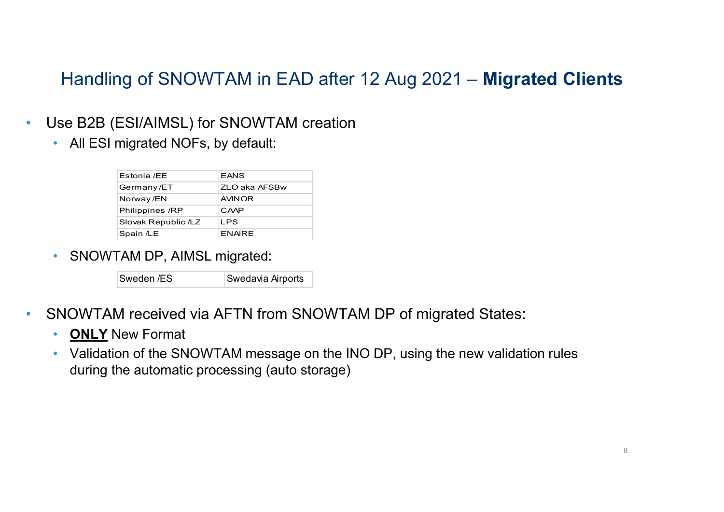# **Handling of SNOWTAM in EAD after 12 A**<br>Jse B2B (ESI/AIMSL) for SNOWTAM creation<br>• All ESI migrated NOFs, by default:<br>Estonia *I*EE EANS<br>German /ET ELO aka AFSBW<br>SNOWER Handling of SNOWTAM in EAD after 12 Aug 2021 – Migrated Clients

- Use B2B (ESI/AIMSL) for SNOWTAM creation
	-

|                                |                                 | ng of SNOWTAM in EAD after 12 Aug 2021 – Mig         |
|--------------------------------|---------------------------------|------------------------------------------------------|
|                                |                                 |                                                      |
|                                |                                 |                                                      |
|                                | ESI/AIMSL) for SNOWTAM creation |                                                      |
|                                |                                 |                                                      |
| migrated NOFs, by default:     |                                 |                                                      |
|                                |                                 |                                                      |
| Estonia /EE                    | EANS                            |                                                      |
| Germany/ET                     | ZLO aka AFSBw                   |                                                      |
| Norway/EN                      | AVINOR                          |                                                      |
| Philippines /RP                | CAAP                            |                                                      |
| Slovak Republic /LZ            | LPS                             |                                                      |
| Spain /LE                      | <b>ENAIRE</b>                   |                                                      |
| <b>FAM DP, AIMSL migrated:</b> |                                 |                                                      |
| Sweden /ES                     | Swedavia Airports               |                                                      |
|                                |                                 |                                                      |
|                                |                                 | M received via AFTN from SNOWTAM DP of migrated Stat |
|                                |                                 |                                                      |
| Jaw Format                     |                                 |                                                      |

• SNOWTAM DP, AIMSL migrated:

| Sweden /ES | Swedavia Airpor |
|------------|-----------------|
|------------|-----------------|

- SNOWTAM received via AFTN from SNOWTAM DP of migrated States:<br>• ONLY New Format
	-
	- Validation of the SNOWTAM message on the INO DP, using the new validation rules during the automatic processing (auto storage)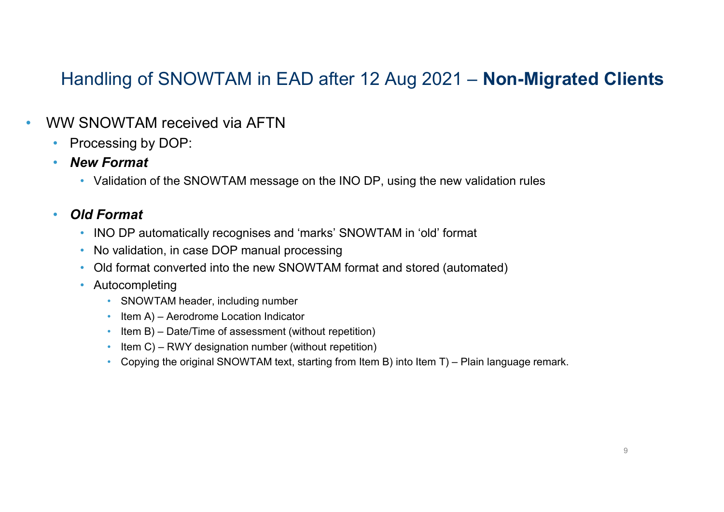### Handling of SNOWTAM in EAD after 12 Aug 2021 – Non-Migrated Clients

- WW SNOWTAM received via AFTN
	- Processing by DOP:
	- New Format
- Validation of the SNOWTAM message on the INO DP, using the new validation rules NWTAM received via AFTN<br>
sing by DOP:<br>
Format<br>
format<br>
format<br>
format<br>
format<br>
ormat<br>
ormat<br>
ormat<br>
ormat<br>
ormat<br>
ormat<br>
ormat<br>
ormat<br>
or alternatically recognises and 'marks' SNOWTAM in 'old' format<br>
or validation, in ca

### • Old Format

- INO DP automatically recognises and 'marks' SNOWTAM in 'old' format<br>• No validation, in case DOP manual processing
- 
- Old format converted into the new SNOWTAM format and stored (automated)
- Autocompleting
	- SNOWTAM header, including number
	-
	-
	-
	-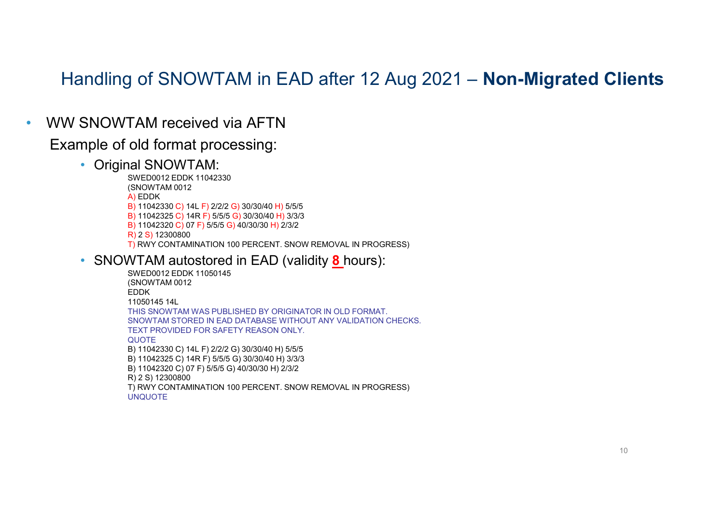### Handling of SNOWTAM in EAD after 12 Aug 2021 – Non-Migrated Clients

• WW SNOWTAM received via AFTN

## Example of old format processing:<br>• Original SNOWTAM:<br>• SWED0012 EDDK 11042330

(a) The Barry of SNOWTAM in EAD after 12 Aug 2021<br>
TAM received via AFTN<br>
old format processing:<br>
(a) SNOWTAM:<br>
SWED0012 EDDK 11042330<br>
(A) CDDK<br>
A) 110423230 C) 014 F) 2/2/2 G) 30/30/40 H) 5/5/5<br>
B) 110423230 C) 014 F) 5/ (SNOWTAM 0012 A) EDDK B) 11042330 C) 14L F) 2/2/2 G) 30/30/40 H) 5/5/5 B) 11042325 C) 14R F) 5/5/5 G) 30/30/40 H) 3/3/3 B) 11042320 C) 07 F) 5/5/5 G) 40/30/30 H) 2/3/2 R) 2 S) 12300800<br>T) RWY CONTAMINATION 100 PERCENT. SNOW REMOVAL IN PROGRESS) **SNOWTAM received via AFTN**<br>
SNOWTAM received via AFTN<br>
mple of old format processing:<br>
• Original SNOWTAM:<br>
• SNOWTAM 0012<br>
• SNOWTAM 20012 EDDK 1144.5330<br>
• SNOW TAM 20012 EDDK 1144.5222 (3) 3030440 H) 5555<br>
• SNOWTAM a **THE SHOW TO A BAND ATHER AND A STANDARY ON THE SHOW THAN SHOW THAN SHOW THAN SHOW TO A BAND MATELY CONDUCT AND SHOW THAN SHOW TO BAND ASSAM AND A BAND MAND RESERVED ON A BAND MAND RESERVED ON A FACTOR CONDUCT AND RESERVED** 

```
(SNOWTAM 0012
EDDK
11050145 14L
THIS SNOWTAM WAS PUBLISHED BY ORIGINATOR IN OLD FORMAT. 
SNOWTAM STORED IN EAD DATABASE WITHOUT ANY VALIDATION CHECKS.
TEXT PROVIDED FOR SAFETY REASON ONLY.
QUOTE
B) 11042330 C) 14L F) 2/2/2 G) 30/30/40 H) 5/5/5
B) 11042325 C) 14R F) 5/5/5 G) 30/30/40 H) 3/3/3
B) 11042320 C) 07 F) 5/5/5 G) 40/30/30 H) 2/3/2
R) 2 S) 12300800
IQI SYNOW I AMI:<br>SWED0012 EDDK 11042330<br>SWED0012 CONTAM 0012<br>B) 11042325 C) 14L F) 2/2/2 G) 30/30/40 H) 5/5/5<br>B) 11042325 C) 17R F) 5/5/5 G) 30/30/40 H) 3/3/3<br>R) 2 S) 12300800<br>B) 11042320 C) 07 F) 5/5/5 G) 40/30/30 H) 2/
UNQUOTE
```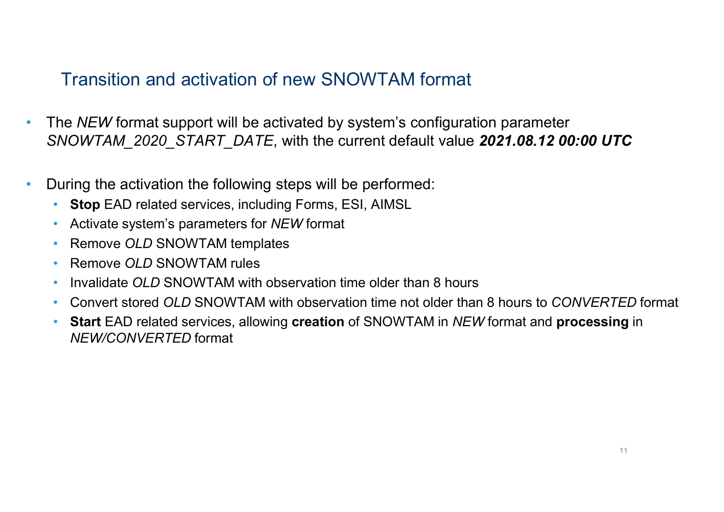### Transition and activation of new SNOWTAM format

- The NEW format support will be activated by system's configuration parameter SNOWTAM\_2020\_START\_DATE, with the current default value 2021.08.12 00:00 UTC
- During the activation the following steps will be performed:
	- Stop EAD related services, including Forms, ESI, AIMSL
	- Activate system's parameters for NEW format
	- Remove OLD SNOWTAM templates
	- Remove OLD SNOWTAM rules
	- Invalidate OLD SNOWTAM with observation time older than 8 hours
	- Convert stored OLD SNOWTAM with observation time not older than 8 hours to CONVERTED format
	- Start EAD related services, allowing creation of SNOWTAM in NEW format and processing in NEW/CONVERTED format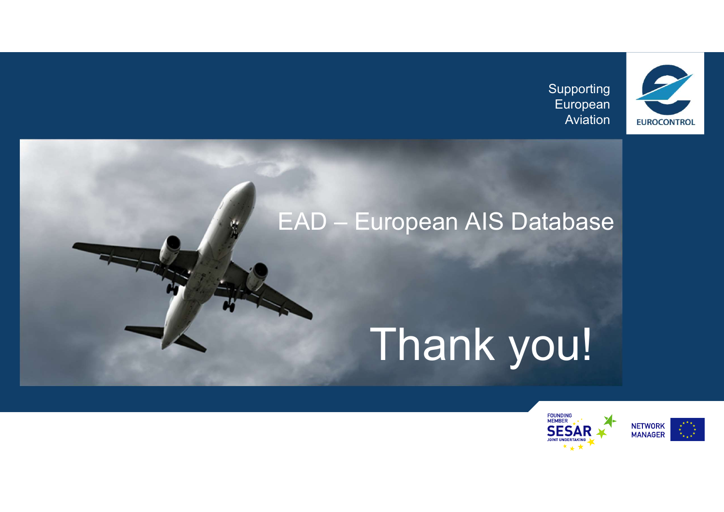Supporting European



# Supporting<br>European<br>EAD – European AIS Database

# Thank you!

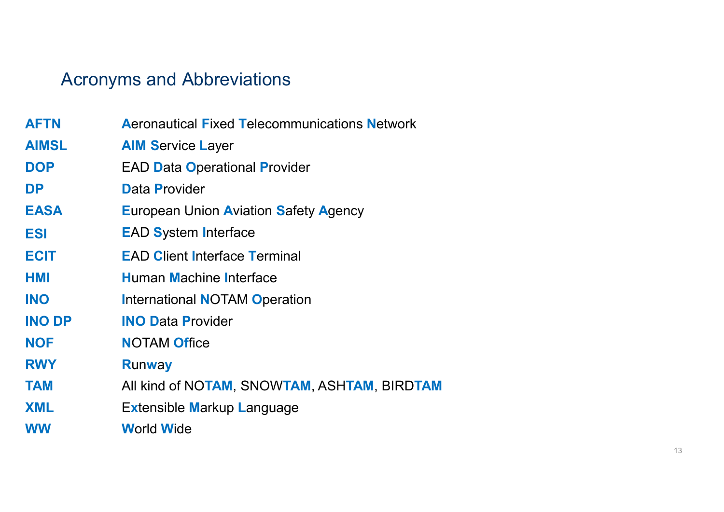### Acronyms and Abbreviations

|               | <b>Acronyms and Abbreviations</b>                    |
|---------------|------------------------------------------------------|
|               |                                                      |
| <b>AFTN</b>   | <b>Aeronautical Fixed Telecommunications Network</b> |
| <b>AIMSL</b>  | <b>AIM Service Layer</b>                             |
| <b>DOP</b>    | <b>EAD Data Operational Provider</b>                 |
| <b>DP</b>     | <b>Data Provider</b>                                 |
| <b>EASA</b>   | <b>European Union Aviation Safety Agency</b>         |
| <b>ESI</b>    | <b>EAD System Interface</b>                          |
| <b>ECIT</b>   | <b>EAD Client Interface Terminal</b>                 |
| <b>HMI</b>    | <b>Human Machine Interface</b>                       |
| <b>INO</b>    | <b>International NOTAM Operation</b>                 |
| <b>INO DP</b> | <b>INO Data Provider</b>                             |
| <b>NOF</b>    | <b>NOTAM Office</b>                                  |
| <b>RWY</b>    | <b>Runway</b>                                        |
| <b>TAM</b>    | All kind of NOTAM, SNOWTAM, ASHTAM, BIRDTAM          |
| <b>XML</b>    | Extensible Markup Language                           |
| <b>WW</b>     | <b>World Wide</b>                                    |
|               |                                                      |